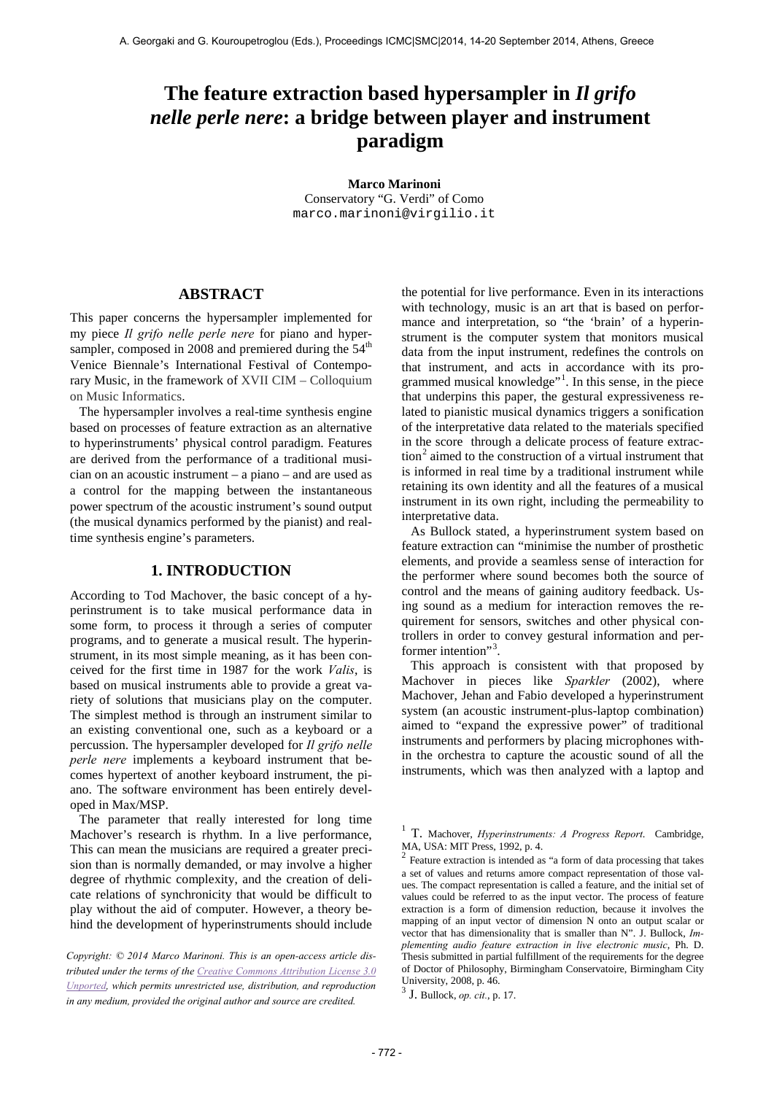# **The feature extraction based hypersampler in** *Il grifo nelle perle nere***: a bridge between player and instrument paradigm**

**Marco Marinoni** Conservatory "G. Verdi" of Como [marco.marinoni@virgilio.it](mailto:marco.marinoni@virgilio.it)

# **ABSTRACT**

This paper concerns the hypersampler implemented for my piece *Il grifo nelle perle nere* for piano and hypersampler, composed in 2008 and premiered during the  $54<sup>th</sup>$ Venice Biennale's International Festival of Contemporary Music, in the framework of XVII CIM – Colloquium on Music Informatics.

The hypersampler involves a real-time synthesis engine based on processes of feature extraction as an alternative to hyperinstruments' physical control paradigm. Features are derived from the performance of a traditional musician on an acoustic instrument – a piano – and are used as a control for the mapping between the instantaneous power spectrum of the acoustic instrument's sound output (the musical dynamics performed by the pianist) and realtime synthesis engine's parameters.

# **1. INTRODUCTION**

According to Tod Machover, the basic concept of a hyperinstrument is to take musical performance data in some form, to process it through a series of computer programs, and to generate a musical result. The hyperinstrument, in its most simple meaning, as it has been conceived for the first time in 1987 for the work *Valis*, is based on musical instruments able to provide a great variety of solutions that musicians play on the computer. The simplest method is through an instrument similar to an existing conventional one, such as a keyboard or a percussion. The hypersampler developed for *Il grifo nelle perle nere* implements a keyboard instrument that becomes hypertext of another keyboard instrument, the piano. The software environment has been entirely developed in Max/MSP.

<span id="page-0-1"></span><span id="page-0-0"></span>The parameter that really interested for long time Machover's research is rhythm. In a live performance, This can mean the musicians are required a greater precision than is normally demanded, or may involve a higher degree of rhythmic complexity, and the creation of delicate relations of synchronicity that would be difficult to play without the aid of computer. However, a theory behind the development of hyperinstruments should include

<span id="page-0-2"></span>*Copyright: © 2014 Marco Marinoni. This is an open-access article distributed under the terms of th[e Creative Commons Attribution License 3.0](http://creativecommons.org/licenses/by/3.0/)  [Unported,](http://creativecommons.org/licenses/by/3.0/) which permits unrestricted use, distribution, and reproduction in any medium, provided the original author and source are credited.*

the potential for live performance. Even in its interactions with technology, music is an art that is based on performance and interpretation, so "the 'brain' of a hyperinstrument is the computer system that monitors musical data from the input instrument, redefines the controls on that instrument, and acts in accordance with its pro-grammed musical knowledge"<sup>[1](#page-0-0)</sup>. In this sense, in the piece that underpins this paper, the gestural expressiveness related to pianistic musical dynamics triggers a sonification of the interpretative data related to the materials specified in the score through a delicate process of feature extrac- $\tan^2$  $\tan^2$  aimed to the construction of a virtual instrument that is informed in real time by a traditional instrument while retaining its own identity and all the features of a musical instrument in its own right, including the permeability to interpretative data.

As Bullock stated, a hyperinstrument system based on feature extraction can "minimise the number of prosthetic elements, and provide a seamless sense of interaction for the performer where sound becomes both the source of control and the means of gaining auditory feedback. Using sound as a medium for interaction removes the requirement for sensors, switches and other physical controllers in order to convey gestural information and per-former intention"<sup>[3](#page-0-2)</sup> .

This approach is consistent with that proposed by Machover in pieces like *Sparkler* (2002), where Machover, Jehan and Fabio developed a hyperinstrument system (an acoustic instrument-plus-laptop combination) aimed to "expand the expressive power" of traditional instruments and performers by placing microphones within the orchestra to capture the acoustic sound of all the instruments, which was then analyzed with a laptop and

<sup>1</sup> T. Machover, *Hyperinstruments: A Progress Report*. Cambridge,

 $2$  Feature extraction is intended as "a form of data processing that takes a set of values and returns amore compact representation of those values. The compact representation is called a feature, and the initial set of values could be referred to as the input vector. The process of feature extraction is a form of dimension reduction, because it involves the mapping of an input vector of dimension N onto an output scalar or vector that has dimensionality that is smaller than N". J. Bullock, *Implementing audio feature extraction in live electronic music*, Ph. D. Thesis submitted in partial fulfillment of the requirements for the degree of Doctor of Philosophy, Birmingham Conservatoire, Birmingham City University, 2008, p. 46.

<sup>3</sup> J. Bullock, *op. cit.*, p. 17.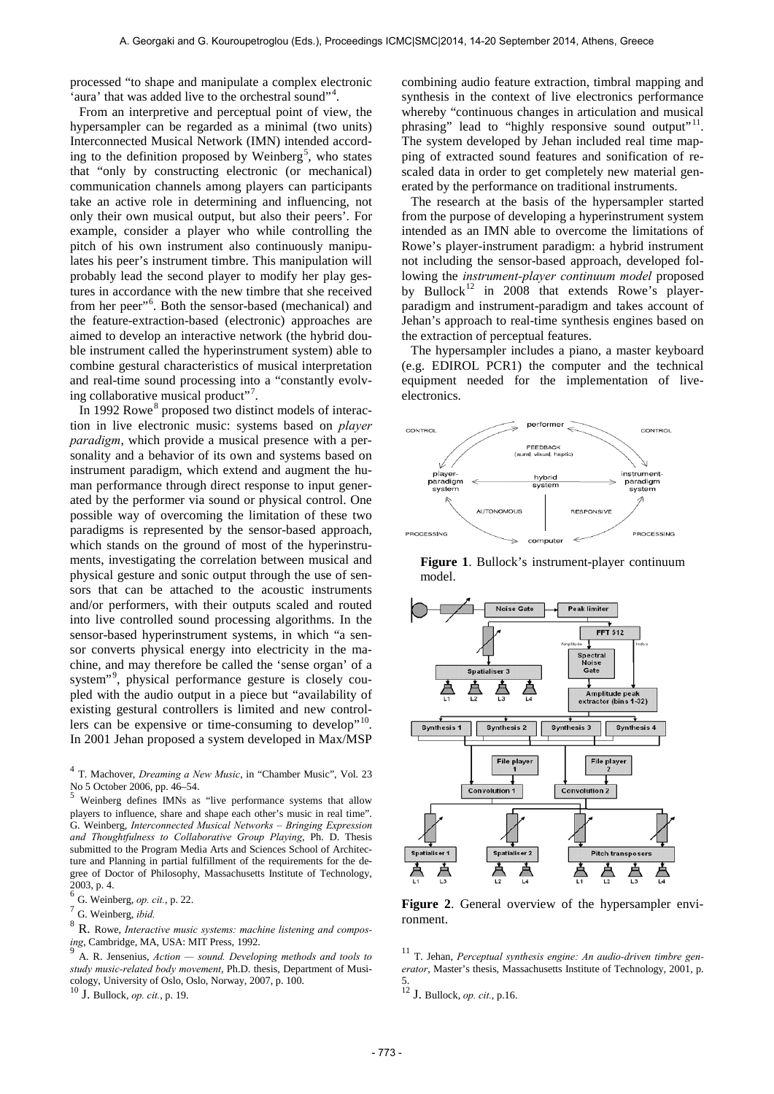processed "to shape and manipulate a complex electronic 'aura' that was added live to the orchestral sound"<sup>[4](#page-1-0)</sup>.

From an interpretive and perceptual point of view, the hypersampler can be regarded as a minimal (two units) Interconnected Musical Network (IMN) intended accord-ing to the definition proposed by Weinberg<sup>[5](#page-1-1)</sup>, who states that "only by constructing electronic (or mechanical) communication channels among players can participants take an active role in determining and influencing, not only their own musical output, but also their peers'. For example, consider a player who while controlling the pitch of his own instrument also continuously manipulates his peer's instrument timbre. This manipulation will probably lead the second player to modify her play gestures in accordance with the new timbre that she received from her peer"<sup>[6](#page-1-2)</sup>. Both the sensor-based (mechanical) and the feature-extraction-based (electronic) approaches are aimed to develop an interactive network (the hybrid double instrument called the hyperinstrument system) able to combine gestural characteristics of musical interpretation and real-time sound processing into a "constantly evolv-ing collaborative musical product"<sup>[7](#page-1-3)</sup>.

In 1992 Rowe<sup>[8](#page-1-4)</sup> proposed two distinct models of interaction in live electronic music: systems based on *player paradigm*, which provide a musical presence with a personality and a behavior of its own and systems based on instrument paradigm, which extend and augment the human performance through direct response to input generated by the performer via sound or physical control. One possible way of overcoming the limitation of these two paradigms is represented by the sensor-based approach, which stands on the ground of most of the hyperinstruments, investigating the correlation between musical and physical gesture and sonic output through the use of sensors that can be attached to the acoustic instruments and/or performers, with their outputs scaled and routed into live controlled sound processing algorithms. In the sensor-based hyperinstrument systems, in which "a sensor converts physical energy into electricity in the machine, and may therefore be called the 'sense organ' of a system"[9](#page-1-5) , physical performance gesture is closely coupled with the audio output in a piece but "availability of existing gestural controllers is limited and new controllers can be expensive or time-consuming to develop"<sup>10</sup>. In 2001 Jehan proposed a system developed in Max/MSP

<span id="page-1-1"></span>players to influence, share and shape each other's music in real time". G. Weinberg, *Interconnected Musical Networks – Bringing Expression and Thoughtfulness to Collaborative Group Playing*, Ph. D. Thesis submitted to the Program Media Arts and Sciences School of Architecture and Planning in partial fulfillment of the requirements for the degree of Doctor of Philosophy, Massachusetts Institute of Technology, 2003, p. 4.

<span id="page-1-4"></span><sup>8</sup> R. Rowe, *Interactive music systems: machine listening and composing*, Cambridge, MA, USA: MIT Press, 1992.<br><sup>9</sup> A. R. Jensenius, *Action — sound. Developing methods and tools to* 

<span id="page-1-5"></span>*study music-related body movement*, Ph.D. thesis, Department of Musicology, University of Oslo, Oslo, Norway, 2007, p. 100. <sup>10</sup> J. Bullock, *op. cit.*, p. 19.

<span id="page-1-6"></span>

combining audio feature extraction, timbral mapping and synthesis in the context of live electronics performance whereby "continuous changes in articulation and musical phrasing" lead to "highly responsive sound output"<sup>11</sup>. The system developed by Jehan included real time mapping of extracted sound features and sonification of rescaled data in order to get completely new material generated by the performance on traditional instruments.

The research at the basis of the hypersampler started from the purpose of developing a hyperinstrument system intended as an IMN able to overcome the limitations of Rowe's player-instrument paradigm: a hybrid instrument not including the sensor-based approach, developed following the *instrument-player continuum model* proposed by Bullock<sup>[12](#page-1-6)</sup> in 2008 that extends Rowe's playerparadigm and instrument-paradigm and takes account of Jehan's approach to real-time synthesis engines based on the extraction of perceptual features.

The hypersampler includes a piano, a master keyboard (e.g. EDIROL PCR1) the computer and the technical equipment needed for the implementation of liveelectronics.



**Figure 1**. Bullock's instrument-player continuum model.



**Figure 2**. General overview of the hypersampler environment.

<sup>11</sup> T. Jehan, *Perceptual synthesis engine: An audio-driven timbre generator*, Master's thesis, Massachusetts Institute of Technology, 2001, p. 5. <sup>12</sup> J. Bullock, *op. cit.*, p.16.

<span id="page-1-0"></span><sup>4</sup> T. Machover, *Dreaming a New Music*, in "Chamber Music", Vol. 23 No 5 October 2006, pp. 46–54. <sup>5</sup> Weinberg defines IMNs as "live performance systems that allow

<span id="page-1-2"></span><sup>6</sup> G. Weinberg, *op. cit.*, p. 22.

<span id="page-1-3"></span><sup>7</sup> G. Weinberg, *ibid.*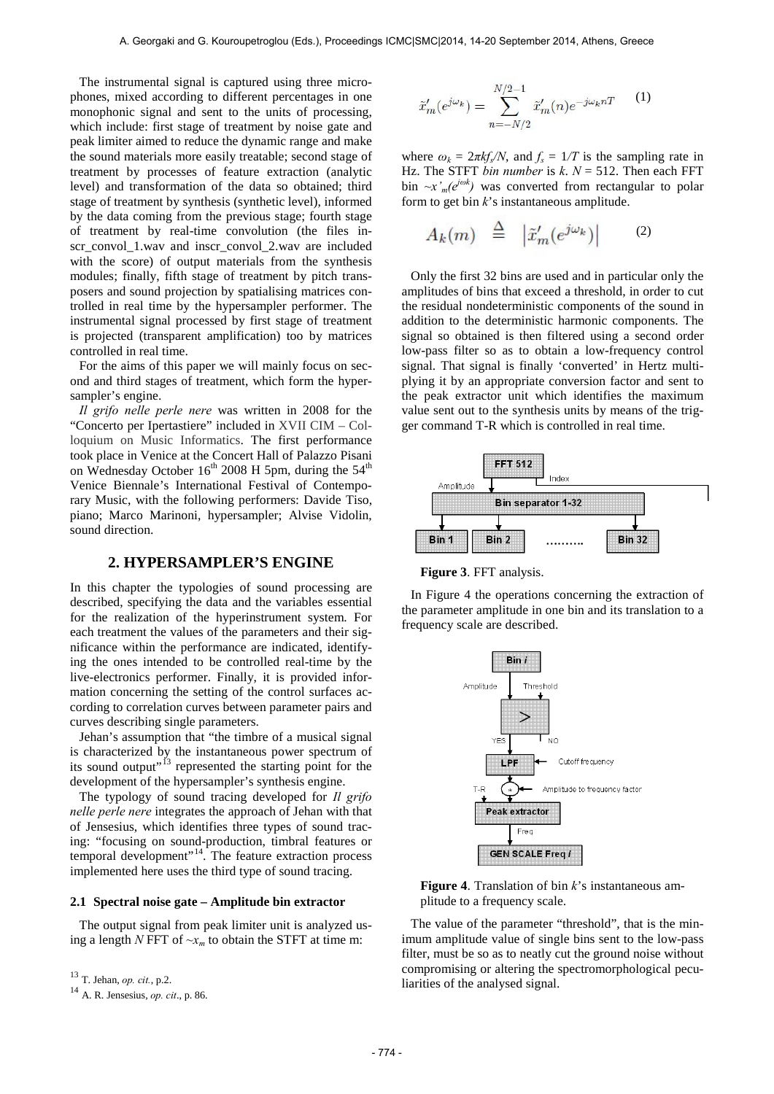The instrumental signal is captured using three microphones, mixed according to different percentages in one monophonic signal and sent to the units of processing, which include: first stage of treatment by noise gate and peak limiter aimed to reduce the dynamic range and make the sound materials more easily treatable; second stage of treatment by processes of feature extraction (analytic level) and transformation of the data so obtained; third stage of treatment by synthesis (synthetic level), informed by the data coming from the previous stage; fourth stage of treatment by real-time convolution (the files inscr\_convol\_1.wav and inscr\_convol\_2.wav are included with the score) of output materials from the synthesis modules; finally, fifth stage of treatment by pitch transposers and sound projection by spatialising matrices controlled in real time by the hypersampler performer. The instrumental signal processed by first stage of treatment is projected (transparent amplification) too by matrices controlled in real time.

For the aims of this paper we will mainly focus on second and third stages of treatment, which form the hypersampler's engine.

*Il grifo nelle perle nere* was written in 2008 for the "Concerto per Ipertastiere" included in XVII CIM – Colloquium on Music Informatics. The first performance took place in Venice at the Concert Hall of Palazzo Pisani on Wednesday October  $16^{th}$  2008 H 5pm, during the 54<sup>th</sup> Venice Biennale's International Festival of Contemporary Music, with the following performers: Davide Tiso, piano; Marco Marinoni, hypersampler; Alvise Vidolin, sound direction.

# **2. HYPERSAMPLER'S ENGINE**

In this chapter the typologies of sound processing are described, specifying the data and the variables essential for the realization of the hyperinstrument system. For each treatment the values of the parameters and their significance within the performance are indicated, identifying the ones intended to be controlled real-time by the live-electronics performer. Finally, it is provided information concerning the setting of the control surfaces according to correlation curves between parameter pairs and curves describing single parameters.

Jehan's assumption that "the timbre of a musical signal is characterized by the instantaneous power spectrum of its sound output"<sup>[13](#page-2-0)</sup> represented the starting point for the development of the hypersampler's synthesis engine.

The typology of sound tracing developed for *Il grifo nelle perle nere* integrates the approach of Jehan with that of Jensesius, which identifies three types of sound tracing: "focusing on sound-production, timbral features or temporal development"[14](#page-2-1). The feature extraction process implemented here uses the third type of sound tracing.

## **2.1 Spectral noise gate – Amplitude bin extractor**

The output signal from peak limiter unit is analyzed using a length *N* FFT of  $-x_m$  to obtain the STFT at time m:

$$
\tilde{x}'_m(e^{j\omega_k}) = \sum_{n=-N/2}^{N/2-1} \tilde{x}'_m(n) e^{-j\omega_k nT}
$$
 (1)

where  $\omega_k = 2\pi k f_s/N$ , and  $f_s = 1/T$  is the sampling rate in Hz. The STFT *bin number* is  $k$ .  $N = 512$ . Then each FFT bin  $-x'_m(e^{j\omega k})$  was converted from rectangular to polar form to get bin *k*'s instantaneous amplitude.

$$
A_k(m) \triangleq |\tilde{x}'_m(e^{j\omega_k})| \qquad (2)
$$

Only the first 32 bins are used and in particular only the amplitudes of bins that exceed a threshold, in order to cut the residual nondeterministic components of the sound in addition to the deterministic harmonic components. The signal so obtained is then filtered using a second order low-pass filter so as to obtain a low-frequency control signal. That signal is finally 'converted' in Hertz multiplying it by an appropriate conversion factor and sent to the peak extractor unit which identifies the maximum value sent out to the synthesis units by means of the trigger command T-R which is controlled in real time.



**Figure 3**. FFT analysis.

In Figure 4 the operations concerning the extraction of the parameter amplitude in one bin and its translation to a frequency scale are described.



**Figure 4**. Translation of bin *k*'s instantaneous amplitude to a frequency scale.

The value of the parameter "threshold", that is the minimum amplitude value of single bins sent to the low-pass filter, must be so as to neatly cut the ground noise without compromising or altering the spectromorphological peculiarities of the analysed signal.

<span id="page-2-0"></span><sup>13</sup> T. Jehan, *op. cit.*, p.2.

<span id="page-2-1"></span><sup>14</sup> A. R. Jensesius, *op. cit*., p. 86.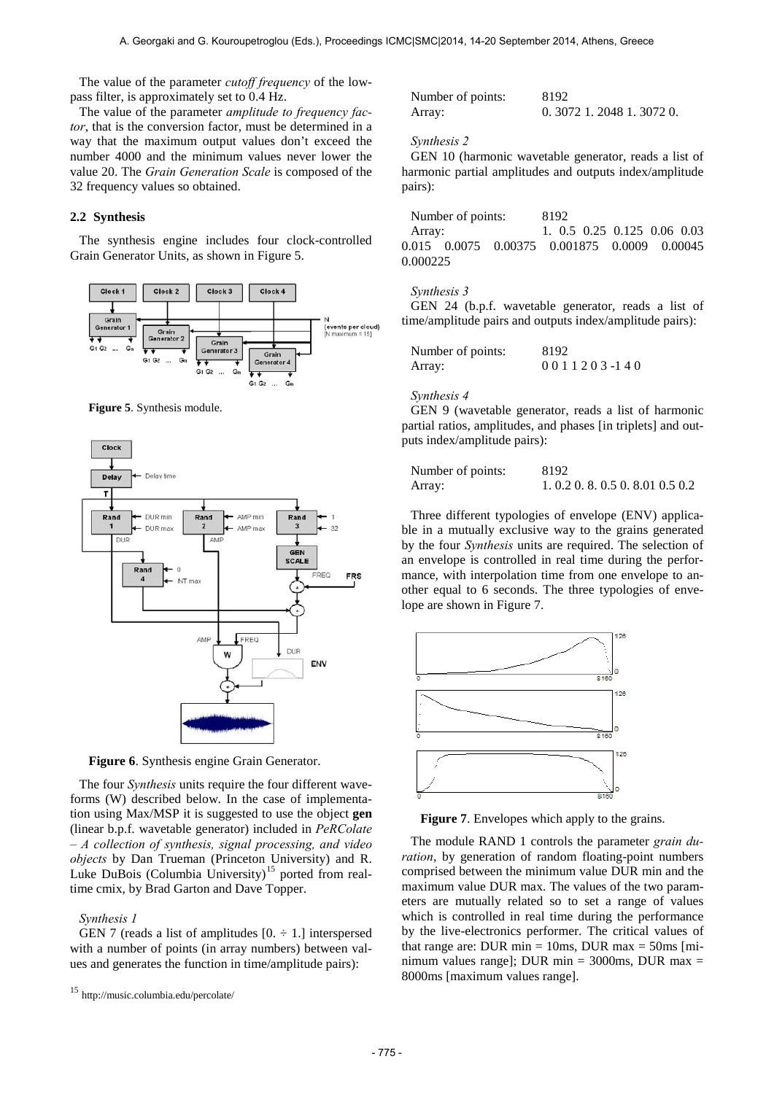The value of the parameter *cutoff frequency* of the lowpass filter, is approximately set to 0.4 Hz.

The value of the parameter *amplitude to frequency factor*, that is the conversion factor, must be determined in a way that the maximum output values don't exceed the number 4000 and the minimum values never lower the value 20. The *Grain Generation Scale* is composed of the 32 frequency values so obtained.

## **2.2 Synthesis**

The synthesis engine includes four clock-controlled Grain Generator Units, as shown in Figure 5.



**Figure 5**. Synthesis module.



**Figure 6**. Synthesis engine Grain Generator.

The four *Synthesis* units require the four different waveforms (W) described below. In the case of implementation using Max/MSP it is suggested to use the object **gen** (linear b.p.f. wavetable generator) included in *PeRColate – A collection of synthesis, signal processing, and video objects* by Dan Trueman (Princeton University) and R. Luke DuBois (Columbia University)<sup>15</sup> ported from realtime cmix, by Brad Garton and Dave Topper.

#### *Synthesis 1*

GEN 7 (reads a list of amplitudes  $[0, \div 1]$  interspersed with a number of points (in array numbers) between values and generates the function in time/amplitude pairs):

| Number of points: | 8192                      |
|-------------------|---------------------------|
| Array:            | $0.3072$ 1.2048 1.3072 0. |

#### *Synthesis 2*

GEN 10 (harmonic wavetable generator, reads a list of harmonic partial amplitudes and outputs index/amplitude pairs):

Number of points: 8192 Array: 1. 0.5 0.25 0.125 0.06 0.03 0.015 0.0075 0.00375 0.001875 0.0009 0.00045 0.000225

### *Synthesis 3*

GEN 24 (b.p.f. wavetable generator, reads a list of time/amplitude pairs and outputs index/amplitude pairs):

| Number of points: | 8192                 |
|-------------------|----------------------|
| Array:            | 0 0 1 1 2 0 3 -1 4 0 |

#### *Synthesis 4*

GEN 9 (wavetable generator, reads a list of harmonic partial ratios, amplitudes, and phases [in triplets] and outputs index/amplitude pairs):

| Number of points: | 8192                          |
|-------------------|-------------------------------|
| Array:            | 1.0.2 0.8 0.5 0.8 0.1 0.5 0.2 |

Three different typologies of envelope (ENV) applicable in a mutually exclusive way to the grains generated by the four *Synthesis* units are required. The selection of an envelope is controlled in real time during the performance, with interpolation time from one envelope to another equal to 6 seconds. The three typologies of envelope are shown in Figure 7.



**Figure 7**. Envelopes which apply to the grains.

The module RAND 1 controls the parameter *grain duration*, by generation of random floating-point numbers comprised between the minimum value DUR min and the maximum value DUR max. The values of the two parameters are mutually related so to set a range of values which is controlled in real time during the performance by the live-electronics performer. The critical values of that range are: DUR min  $= 10$ ms, DUR max  $= 50$ ms [minimum values range]; DUR min =  $3000$ ms, DUR max = 8000ms [maximum values range].

<span id="page-3-0"></span><sup>15</sup> <http://music.columbia.edu/percolate/>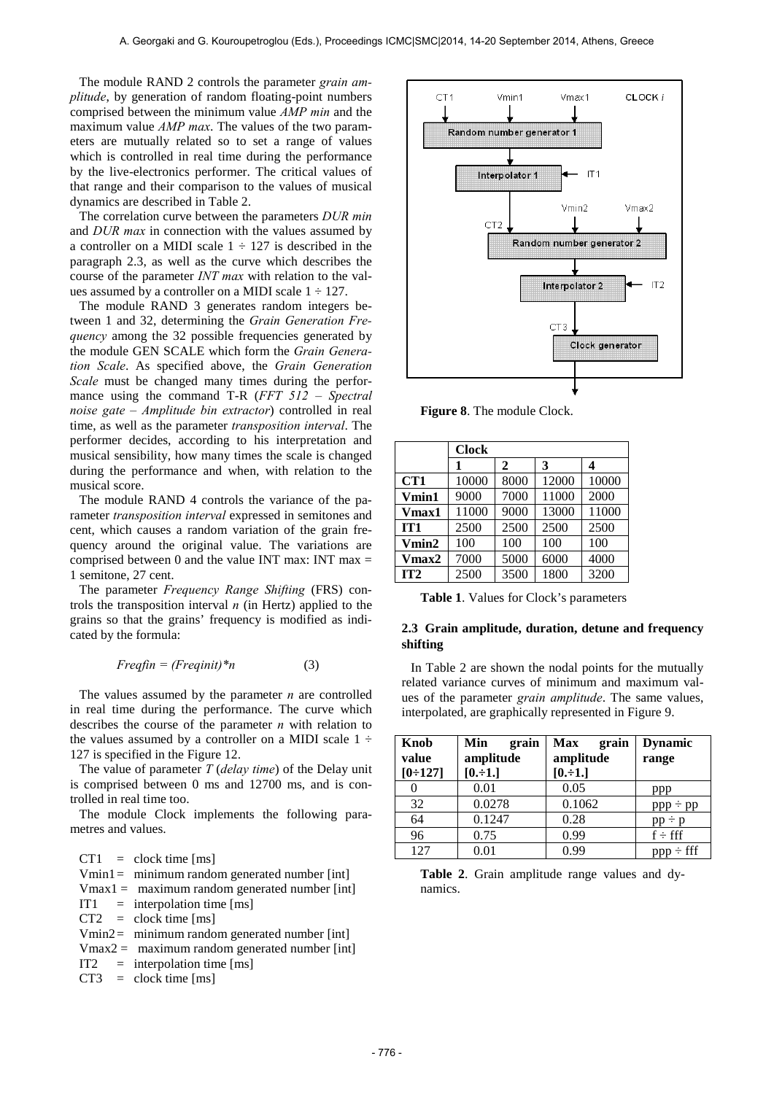The module RAND 2 controls the parameter *grain amplitude*, by generation of random floating-point numbers comprised between the minimum value *AMP min* and the maximum value *AMP max*. The values of the two parameters are mutually related so to set a range of values which is controlled in real time during the performance by the live-electronics performer. The critical values of that range and their comparison to the values of musical dynamics are described in Table 2.

The correlation curve between the parameters *DUR min* and *DUR max* in connection with the values assumed by a controller on a MIDI scale  $1 \div 127$  is described in the paragraph 2.3, as well as the curve which describes the course of the parameter *INT max* with relation to the values assumed by a controller on a MIDI scale  $1 \div 127$ .

The module RAND 3 generates random integers between 1 and 32, determining the *Grain Generation Frequency* among the 32 possible frequencies generated by the module GEN SCALE which form the *Grain Generation Scale*. As specified above, the *Grain Generation Scale* must be changed many times during the performance using the command T-R (*FFT 512 – Spectral noise gate – Amplitude bin extractor*) controlled in real time, as well as the parameter *transposition interval*. The performer decides, according to his interpretation and musical sensibility, how many times the scale is changed during the performance and when, with relation to the musical score.

The module RAND 4 controls the variance of the parameter *transposition interval* expressed in semitones and cent, which causes a random variation of the grain frequency around the original value. The variations are comprised between 0 and the value INT max: INT max  $=$ 1 semitone, 27 cent.

The parameter *Frequency Range Shifting* (FRS) controls the transposition interval *n* (in Hertz) applied to the grains so that the grains' frequency is modified as indicated by the formula:

$$
Freqfin = (Freqinit)^*n \tag{3}
$$

The values assumed by the parameter *n* are controlled in real time during the performance. The curve which describes the course of the parameter *n* with relation to the values assumed by a controller on a MIDI scale  $1 \div$ 127 is specified in the Figure 12.

The value of parameter *T* (*delay time*) of the Delay unit is comprised between 0 ms and 12700 ms, and is controlled in real time too.

The module Clock implements the following parametres and values.

 $CT1 = clock time [ms]$ Vmin1= minimum random generated number [int]  $V$ max1 = maximum random generated number [int]  $IT1 =$  interpolation time [ms]  $CT2 = clock time [ms]$ Vmin2= minimum random generated number [int]  $V$ max2 = maximum random generated number [int]  $IT2 = interpolation time [ms]$  $CT3 = clock time [ms]$ 



**Figure 8**. The module Clock.

|                 | <b>Clock</b> |      |       |       |
|-----------------|--------------|------|-------|-------|
|                 |              | 2    | 3     | 4     |
| CT1             | 10000        | 8000 | 12000 | 10000 |
| Vmin1           | 9000         | 7000 | 11000 | 2000  |
| Vmax1           | 11000        | 9000 | 13000 | 11000 |
| IT <sub>1</sub> | 2500         | 2500 | 2500  | 2500  |
| Vmin2           | 100          | 100  | 100   | 100   |
| Vmax2           | 7000         | 5000 | 6000  | 4000  |
| IT2             | 2500         | 3500 | 1800  | 3200  |

**Table 1**. Values for Clock's parameters

## **2.3 Grain amplitude, duration, detune and frequency shifting**

In Table 2 are shown the nodal points for the mutually related variance curves of minimum and maximum values of the parameter *grain amplitude*. The same values, interpolated, are graphically represented in Figure 9.

| Knob      | Min<br>grain           | <b>Max</b><br>grain | <b>Dynamic</b> |
|-----------|------------------------|---------------------|----------------|
| value     | amplitude<br>amplitude |                     | range          |
| $[0-127]$ | $[0,-1.]$              | $[0.-1.]$           |                |
| 0         | 0.01                   | 0.05                | ppp            |
| 32        | 0.0278                 | 0.1062              | $ppp \div pp$  |
| 64        | 0.1247                 | 0.28                | $pp - p$       |
| 96        | 0.75                   | 0.99                | $f \div f f f$ |
| 127       | 0.01                   | 0.99                | $pop \div fff$ |

**Table 2**. Grain amplitude range values and dynamics.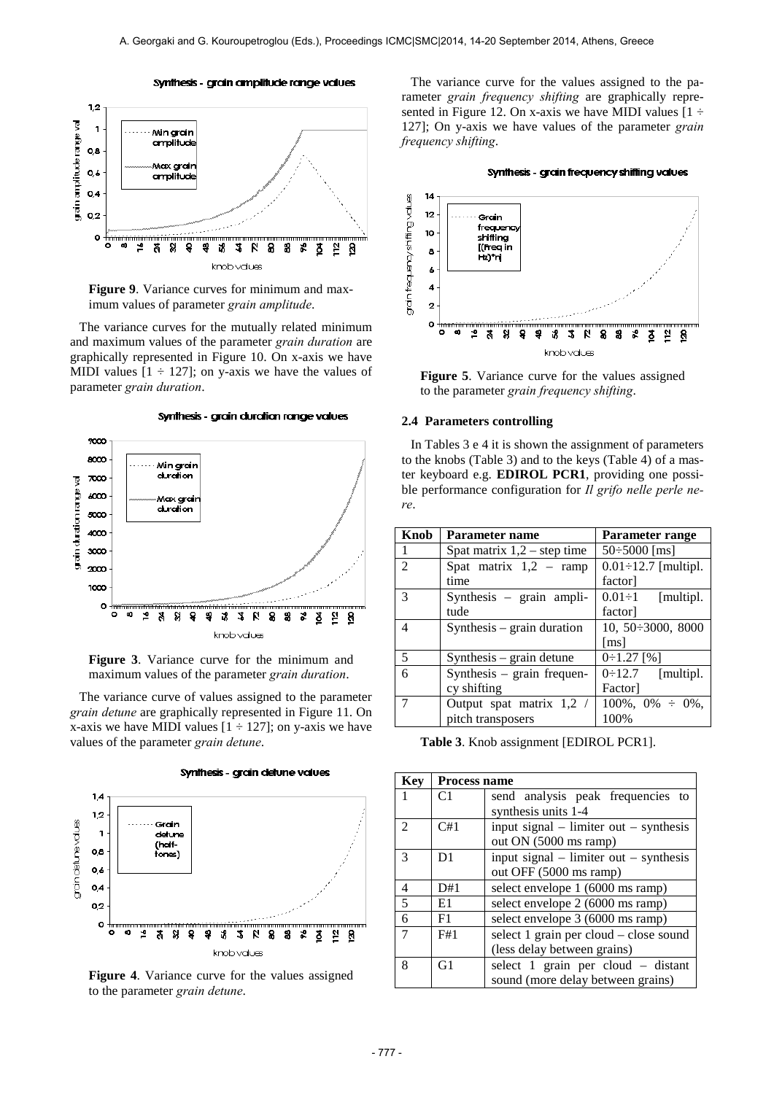





The variance curves for the mutually related minimum and maximum values of the parameter *grain duration* are graphically represented in Figure 10. On x-axis we have MIDI values  $[1 \div 127]$ ; on y-axis we have the values of parameter *grain duration*.

Synthesis - grain duration range values





**Figure 3**. Variance curve for the minimum and maximum values of the parameter *grain duration*.

The variance curve of values assigned to the parameter *grain detune* are graphically represented in Figure 11. On x-axis we have MIDI values  $[1 \div 127]$ ; on y-axis we have values of the parameter *grain detune*.



**Figure 4**. Variance curve for the values assigned to the parameter *grain detune*.

The variance curve for the values assigned to the parameter *grain frequency shifting* are graphically represented in Figure 12. On x-axis we have MIDI values  $[1 \div \]$ 127]; On y-axis we have values of the parameter *grain frequency shifting*.





**Figure 5**. Variance curve for the values assigned to the parameter *grain frequency shifting*.

#### **2.4 Parameters controlling**

In Tables 3 e 4 it is shown the assignment of parameters to the knobs (Table 3) and to the keys (Table 4) of a master keyboard e.g. **EDIROL PCR1**, providing one possible performance configuration for *Il grifo nelle perle nere*.

| Knob           | Parameter name                                          | Parameter range            |  |
|----------------|---------------------------------------------------------|----------------------------|--|
|                | $50\div 5000$ [ms]<br>Spat matrix $1,2$ – step time     |                            |  |
| $\overline{2}$ | Spat matrix $1,2$ – ramp                                | $0.01 \div 12.7$ [multipl. |  |
|                | time                                                    | factor]                    |  |
| $\mathcal{R}$  | Synthesis - grain ampli-<br>$0.01 \div 1$<br>[multipl.] |                            |  |
|                | tude                                                    | factor]                    |  |
| $\overline{4}$ | Synthesis $-$ grain duration                            | 10, 50 : 3000, 8000        |  |
|                |                                                         | $\lceil \text{ms} \rceil$  |  |
| 5              | $Synthesis - grain detune$                              | $0:1.27$ [%]               |  |
| 6              | Synthesis – grain frequen-                              | $0\div 12.7$ [multipl.     |  |
|                | cy shifting                                             | Factor]                    |  |
| 7              | Output spat matrix 1,2 /                                | $100\%, 0\% \div 0\%,$     |  |
|                | pitch transposers                                       | 100%                       |  |

**Table 3**. Knob assignment [EDIROL PCR1].

| Key                         | <b>Process name</b> |                                            |
|-----------------------------|---------------------|--------------------------------------------|
| 1                           | C <sub>1</sub>      | send analysis peak frequencies to          |
|                             |                     | synthesis units 1-4                        |
| $\mathcal{D}_{\mathcal{L}}$ | C#1                 | input signal $-$ limiter out $-$ synthesis |
|                             |                     | out ON (5000 ms ramp)                      |
| 3                           | D1                  | input signal $-$ limiter out $-$ synthesis |
|                             |                     | out OFF (5000 ms ramp)                     |
| 4                           | D#1                 | select envelope 1 (6000 ms ramp)           |
| 5                           | E1                  | select envelope 2 (6000 ms ramp)           |
| 6                           | F1                  | select envelope 3 (6000 ms ramp)           |
|                             | F#1                 | select 1 grain per cloud – close sound     |
|                             |                     | (less delay between grains)                |
| 8                           | G1                  | select 1 grain per cloud - distant         |
|                             |                     | sound (more delay between grains)          |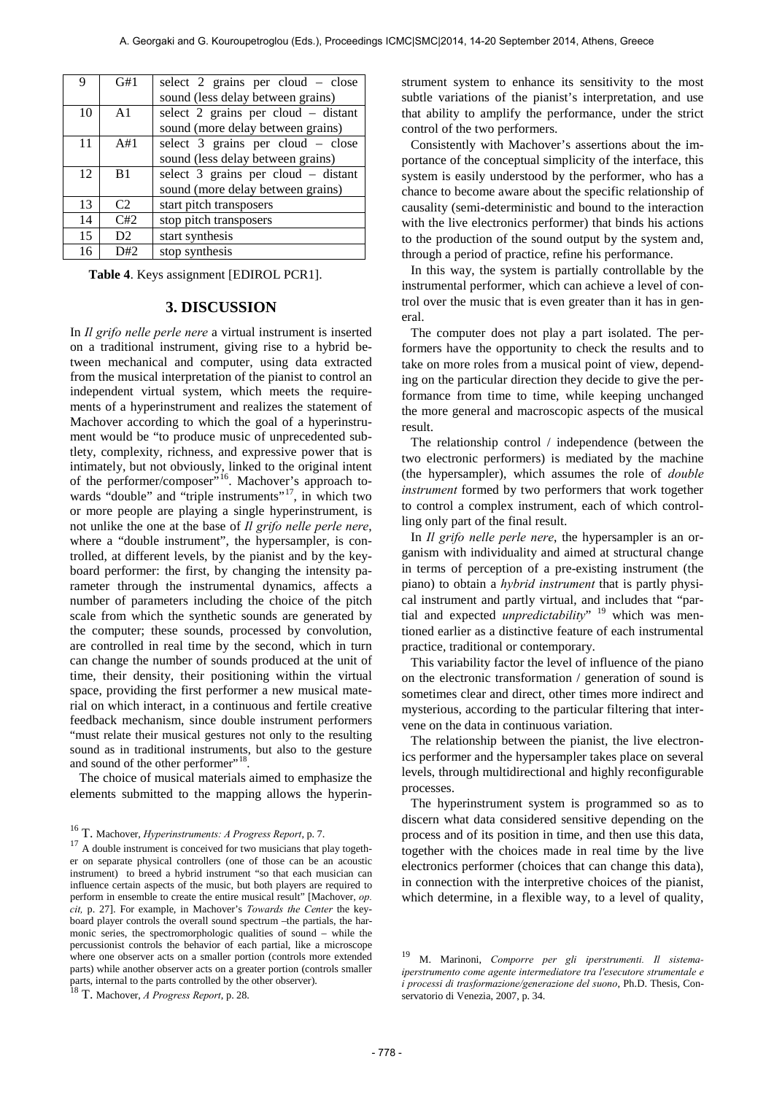| 9  | G#1            | select 2 grains per cloud – close   |
|----|----------------|-------------------------------------|
|    |                | sound (less delay between grains)   |
| 10 | A <sub>1</sub> | select 2 grains per cloud - distant |
|    |                | sound (more delay between grains)   |
| 11 | A#1            | select 3 grains per cloud – close   |
|    |                | sound (less delay between grains)   |
| 12 | B <sub>1</sub> | select 3 grains per cloud - distant |
|    |                | sound (more delay between grains)   |
| 13 | C2             | start pitch transposers             |
| 14 | C#2            | stop pitch transposers              |
| 15 | D <sub>2</sub> | start synthesis                     |
| 16 | D#2            | stop synthesis                      |

**Table 4**. Keys assignment [EDIROL PCR1].

# **3. DISCUSSION**

In *Il grifo nelle perle nere* a virtual instrument is inserted on a traditional instrument, giving rise to a hybrid between mechanical and computer, using data extracted from the musical interpretation of the pianist to control an independent virtual system, which meets the requirements of a hyperinstrument and realizes the statement of Machover according to which the goal of a hyperinstrument would be "to produce music of unprecedented subtlety, complexity, richness, and expressive power that is intimately, but not obviously, linked to the original intent of the performer/composer"<sup>16</sup>. Machover's approach towards "double" and "triple instruments"<sup>17</sup>, in which two or more people are playing a single hyperinstrument, is not unlike the one at the base of *Il grifo nelle perle nere*, where a "double instrument", the hypersampler, is controlled, at different levels, by the pianist and by the keyboard performer: the first, by changing the intensity parameter through the instrumental dynamics, affects a number of parameters including the choice of the pitch scale from which the synthetic sounds are generated by the computer; these sounds, processed by convolution, are controlled in real time by the second, which in turn can change the number of sounds produced at the unit of time, their density, their positioning within the virtual space, providing the first performer a new musical material on which interact, in a continuous and fertile creative feedback mechanism, since double instrument performers "must relate their musical gestures not only to the resulting sound as in traditional instruments, but also to the gesture and sound of the other performer"<sup>18</sup>.

The choice of musical materials aimed to emphasize the elements submitted to the mapping allows the hyperin-

<span id="page-6-3"></span><span id="page-6-2"></span>

strument system to enhance its sensitivity to the most subtle variations of the pianist's interpretation, and use that ability to amplify the performance, under the strict control of the two performers.

Consistently with Machover's assertions about the importance of the conceptual simplicity of the interface, this system is easily understood by the performer, who has a chance to become aware about the specific relationship of causality (semi-deterministic and bound to the interaction with the live electronics performer) that binds his actions to the production of the sound output by the system and, through a period of practice, refine his performance.

In this way, the system is partially controllable by the instrumental performer, which can achieve a level of control over the music that is even greater than it has in general.

The computer does not play a part isolated. The performers have the opportunity to check the results and to take on more roles from a musical point of view, depending on the particular direction they decide to give the performance from time to time, while keeping unchanged the more general and macroscopic aspects of the musical result.

The relationship control / independence (between the two electronic performers) is mediated by the machine (the hypersampler), which assumes the role of *double instrument* formed by two performers that work together to control a complex instrument, each of which controlling only part of the final result.

In *Il grifo nelle perle nere*, the hypersampler is an organism with individuality and aimed at structural change in terms of perception of a pre-existing instrument (the piano) to obtain a *hybrid instrument* that is partly physical instrument and partly virtual, and includes that "partial and expected *unpredictability*" [19](#page-6-3) which was mentioned earlier as a distinctive feature of each instrumental practice, traditional or contemporary.

This variability factor the level of influence of the piano on the electronic transformation / generation of sound is sometimes clear and direct, other times more indirect and mysterious, according to the particular filtering that intervene on the data in continuous variation.

The relationship between the pianist, the live electronics performer and the hypersampler takes place on several levels, through multidirectional and highly reconfigurable processes.

The hyperinstrument system is programmed so as to discern what data considered sensitive depending on the process and of its position in time, and then use this data, together with the choices made in real time by the live electronics performer (choices that can change this data), in connection with the interpretive choices of the pianist, which determine, in a flexible way, to a level of quality,

<span id="page-6-1"></span><span id="page-6-0"></span><sup>&</sup>lt;sup>16</sup> T. Machover, *Hyperinstruments: A Progress Report*, p. 7.<br><sup>17</sup> A double instrument is conceived for two musicians that play together on separate physical controllers (one of those can be an acoustic instrument) to breed a hybrid instrument "so that each musician can influence certain aspects of the music, but both players are required to perform in ensemble to create the entire musical result" [Machover, *op. cit,* p. 27]. For example, in Machover's *Towards the Center* the keyboard player controls the overall sound spectrum –the partials, the harmonic series, the spectromorphologic qualities of sound – while the percussionist controls the behavior of each partial, like a microscope where one observer acts on a smaller portion (controls more extended parts) while another observer acts on a greater portion (controls smaller parts, internal to the parts controlled by the other observer). <sup>18</sup> T. Machover, *A Progress Report*, p. 28.

<sup>19</sup> M. Marinoni, *Comporre per gli iperstrumenti. Il sistemaiperstrumento come agente intermediatore tra l'esecutore strumentale e i processi di trasformazione/generazione del suono*, Ph.D. Thesis, Conservatorio di Venezia, 2007, p. 34.